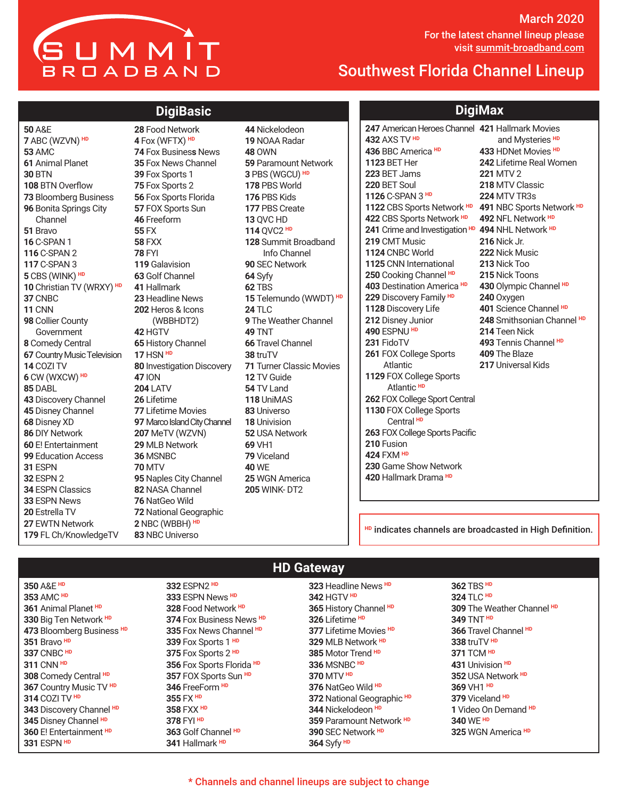# SUMMIT BROADBAND

March 2020 For the latest channel lineup please For the latest channel lineup please visit <u>summit-broadband.com</u>

### Southwest Florida Channel Lineup

#### **DigiBasic**

A&E ABC (WZVN) **HD** AMC Animal Planet BTN BTN Overflow Bloomberg Business Bonita Springs City Channel Bravo C-SPAN 1 C-SPAN 2 C-SPAN 3 CBS (WINK) **HD** Christian TV (WRXY) **HD** CNBC CNN Collier County Government Comedy Central Country Music Television COZI TV CW (WXCW) **HD** DABL Discovery Channel Disney Channel Disney XD DIY Network E! Entertainment Education Access ESPN ESPN 2 ESPN Classics ESPN News Estrella TV EWTN Network FL Ch/KnowledgeTV

 Food Network Fox (WFTX) **HD** Fox Busines**s** News Fox News Channel Fox Sports 1 Fox Sports 2 Fox Sports Florida FOX Sports Sun Freeform FX FXX FYI Galavision Golf Channel Hallmark Headline News Heros & Icons (WBBHDT2) HGTV History Channel HSN **HD** Investigation Discovery ION LATV Lifetime Lifetime Movies Marco Island City Channel MeTV (WZVN) MLB Network MSNBC MTV Naples City Channel NASA Channel NatGeo Wild National Geographic NBC (WBBH) **HD** NBC Universo

Nickelodeon NOAA Radar OWN Paramount Network PBS (WGCU) **HD** PBS World PBS Kids PBS Create QVC HD QVC2 **HD** Summit Broadband Info Channel SEC Network Syfy TBS Telemundo (WWDT) **HD** TLC The Weather Channel TNT Travel Channel truTV Turner Classic Movies TV Guide TV Land UniMAS Universo Univision USA Network VH1 Viceland WE WGN America WINK- DT2

#### **DigiMax**

American Heroes Channel **421** Hallmark Movies AXS TV **HD** BBC America **HD** BET Her BET Jams BET Soul C-SPAN 3 **HD** CBS Sports Network **HD 491** NBC Sports Network **HD** CBS Sports Network **HD** Crime and Investigation **HD 494** NHL Network **HD** CMT Music CNBC World CNN International Cooking Channel **HD** Destination America **HD** Discovery Family **HD** Discovery Life Disney Junior ESPNU **HD** FidoTV FOX College Sports Atlantic FOX College Sports Atlantic **HD** FOX College Sport Central FOX College Sports Central **HD** FOX College Sports Pacific Fusion FXM **HD** Game Show Network Hallmark Drama **HD** and Mysteries **HD** HDNet Movies **HD** Lifetime Real Women MTV 2 MTV Classic MTV TR3s NFL Network **HD** Nick Jr. Nick Music Nick Too Nick Toons Olympic Channel **HD** Oxygen Science Channel **HD** Smithsonian Channel **HD** Teen Nick Tennis Channel **HD** The Blaze Universal Kids

**HD** indicates channels are broadcasted in High Definition.

A&E **HD** AMC **HD** Animal Planet **HD** Big Ten Network **HD** Bloomberg Business **HD** Bravo **HD** CNBC **HD** CNN **HD** Comedy Central **HD** Country Music TV **HD** COZI TV **HD** Discovery Channel **HD** Disney Channel **HD** E! Entertainment **HD** ESPN **HD**

#### **HD Gateway**

ESPN2 **HD** ESPN News **HD** Food Network **HD** Fox Business News **HD** Fox News Channel **HD** Fox Sports 1 **HD** Fox Sports 2 **HD** Fox Sports Florida **HD** FOX Sports Sun **HD** FreeForm **HD** FX **HD** FXX **HD** FYI **HD** Golf Channel **HD** Hallmark **HD**

HGTV **HD** History Channel **HD** Lifetime **HD** Lifetime Movies **HD** MLB Network **HD** Motor Trend **HD** MSNBC **HD** MTV **HD** NatGeo Wild **HD** National Geographic **HD** Nickelodeon **HD** Paramount Network **HD**

SEC Network **HD**

Syfy **HD**

Headline News **HD**

 TBS **HD** TLC **HD** The Weather Channel **HD** TNT **HD** Travel Channel **HD** truTV **HD** TCM **HD** Univision **HD** USA Network **HD** VH1 **HD** Viceland **HD** Video On Demand **HD** WE **HD** WGN America **HD**